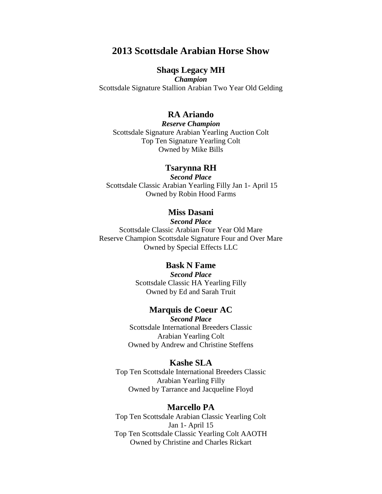# **2013 Scottsdale Arabian Horse Show**

# **Shaqs Legacy MH**

*Champion*  Scottsdale Signature Stallion Arabian Two Year Old Gelding

## **RA Ariando**

*Reserve Champion* Scottsdale Signature Arabian Yearling Auction Colt Top Ten Signature Yearling Colt Owned by Mike Bills

#### **Tsarynna RH**

*Second Place* Scottsdale Classic Arabian Yearling Filly Jan 1- April 15 Owned by Robin Hood Farms

## **Miss Dasani**

*Second Place* Scottsdale Classic Arabian Four Year Old Mare Reserve Champion Scottsdale Signature Four and Over Mare Owned by Special Effects LLC

## **Bask N Fame**

*Second Place*  Scottsdale Classic HA Yearling Filly Owned by Ed and Sarah Truit

## **Marquis de Coeur AC**

*Second Place*  Scottsdale International Breeders Classic Arabian Yearling Colt Owned by Andrew and Christine Steffens

#### **Kashe SLA**

Top Ten Scottsdale International Breeders Classic Arabian Yearling Filly Owned by Tarrance and Jacqueline Floyd

#### **Marcello PA**

Top Ten Scottsdale Arabian Classic Yearling Colt Jan 1- April 15 Top Ten Scottsdale Classic Yearling Colt AAOTH Owned by Christine and Charles Rickart